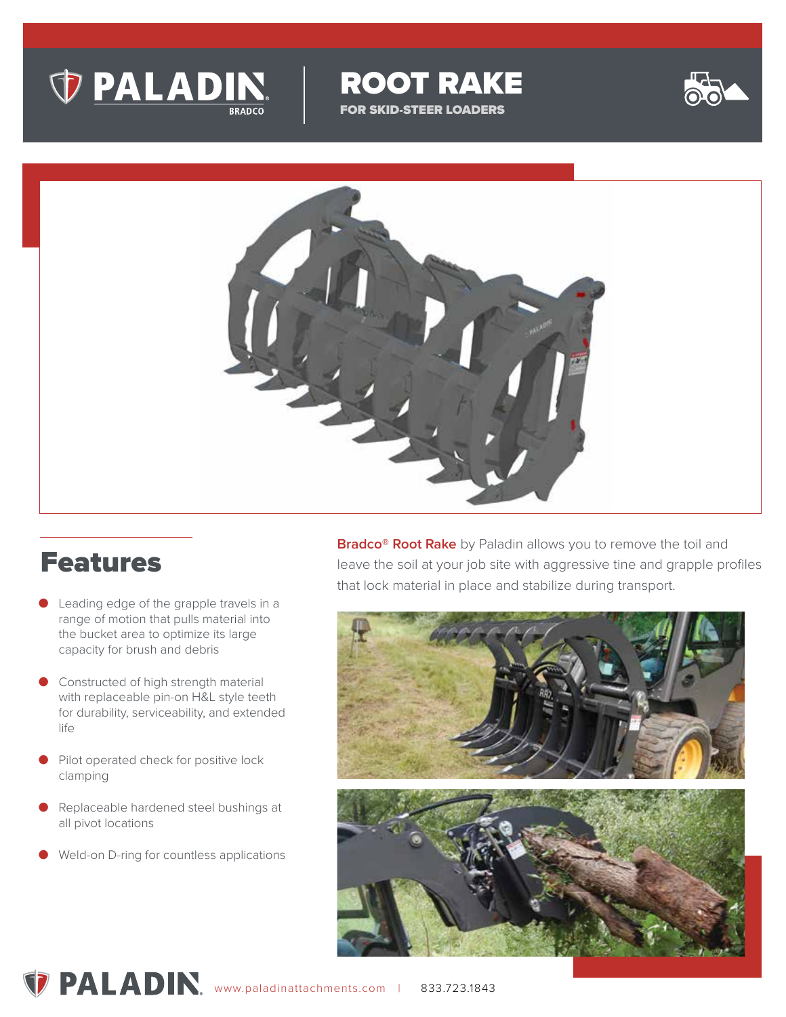

ROOT RAKE FOR SKID-STEER LOADERS



## Features

- Leading edge of the grapple travels in a range of motion that pulls material into the bucket area to optimize its large capacity for brush and debris
- Constructed of high strength material with replaceable pin-on H&L style teeth for durability, serviceability, and extended life
- Pilot operated check for positive lock clamping
- Replaceable hardened steel bushings at all pivot locations
- Weld-on D-ring for countless applications

**Bradco® Root Rake** by Paladin allows you to remove the toil and leave the soil at your job site with aggressive tine and grapple profiles that lock material in place and stabilize during transport.